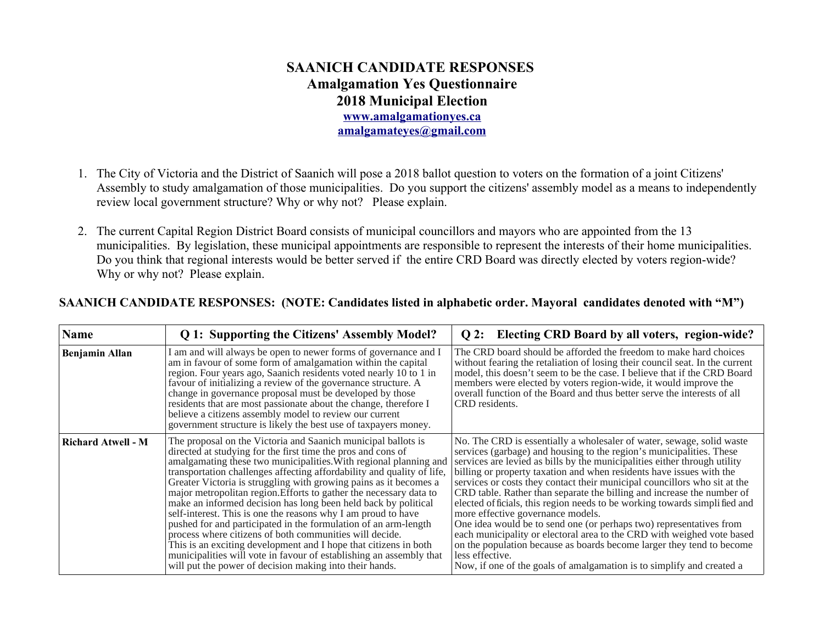## **SAANICH CANDIDATE RESPONSES Amalgamation Yes Questionnaire 2018 Municipal Election [www.amalgamationyes.ca](http://www.amalgamationyes.ca/) [amalgamateyes@gmail.com](mailto:amalgamateyes@gmail.com)**

- 1. The City of Victoria and the District of Saanich will pose a 2018 ballot question to voters on the formation of a joint Citizens' Assembly to study amalgamation of those municipalities. Do you support the citizens' assembly model as a means to independently review local government structure? Why or why not? Please explain.
- 2. The current Capital Region District Board consists of municipal councillors and mayors who are appointed from the 13 municipalities. By legislation, these municipal appointments are responsible to represent the interests of their home municipalities. Do you think that regional interests would be better served if the entire CRD Board was directly elected by voters region-wide? Why or why not? Please explain.

| Name                      | Q 1: Supporting the Citizens' Assembly Model?                                                                                                                                                                                                                                                                                                                                                                                                                                                                                                                                                                                                                                                                                                                                                                                                                                                  | Q 2: Electing CRD Board by all voters, region-wide?                                                                                                                                                                                                                                                                                                                                                                                                                                                                                                                                                                                                                                                                                                                                                                                                                                                |
|---------------------------|------------------------------------------------------------------------------------------------------------------------------------------------------------------------------------------------------------------------------------------------------------------------------------------------------------------------------------------------------------------------------------------------------------------------------------------------------------------------------------------------------------------------------------------------------------------------------------------------------------------------------------------------------------------------------------------------------------------------------------------------------------------------------------------------------------------------------------------------------------------------------------------------|----------------------------------------------------------------------------------------------------------------------------------------------------------------------------------------------------------------------------------------------------------------------------------------------------------------------------------------------------------------------------------------------------------------------------------------------------------------------------------------------------------------------------------------------------------------------------------------------------------------------------------------------------------------------------------------------------------------------------------------------------------------------------------------------------------------------------------------------------------------------------------------------------|
| Benjamin Allan            | I am and will always be open to newer forms of governance and I<br>am in favour of some form of amalgamation within the capital<br>region. Four years ago, Saanich residents voted nearly 10 to 1 in<br>favour of initializing a review of the governance structure. A<br>change in governance proposal must be developed by those<br>residents that are most passionate about the change, therefore I<br>believe a citizens assembly model to review our current<br>government structure is likely the best use of taxpayers money.                                                                                                                                                                                                                                                                                                                                                           | The CRD board should be afforded the freedom to make hard choices<br>without fearing the retaliation of losing their council seat. In the current<br>model, this doesn't seem to be the case. I believe that if the CRD Board<br>members were elected by voters region-wide, it would improve the<br>overall function of the Board and thus better serve the interests of all<br>CRD residents.                                                                                                                                                                                                                                                                                                                                                                                                                                                                                                    |
| <b>Richard Atwell - M</b> | The proposal on the Victoria and Saanich municipal ballots is<br>directed at studying for the first time the pros and cons of<br>amalgamating these two municipalities. With regional planning and<br>transportation challenges affecting affordability and quality of life,<br>Greater Victoria is struggling with growing pains as it becomes a<br>major metropolitan region. Efforts to gather the necessary data to<br>make an informed decision has long been held back by political<br>self-interest. This is one the reasons why I am proud to have<br>pushed for and participated in the formulation of an arm-length<br>process where citizens of both communities will decide.<br>This is an exciting development and I hope that citizens in both<br>municipalities will vote in favour of establishing an assembly that<br>will put the power of decision making into their hands. | No. The CRD is essentially a wholesaler of water, sewage, solid waste<br>services (garbage) and housing to the region's municipalities. These<br>services are levied as bills by the municipalities either through utility<br>billing or property taxation and when residents have issues with the<br>services or costs they contact their municipal councillors who sit at the<br>CRD table. Rather than separate the billing and increase the number of<br>elected of ficials, this region needs to be working towards simplified and<br>more effective governance models.<br>One idea would be to send one (or perhaps two) representatives from<br>each municipality or electoral area to the CRD with weighed vote based<br>on the population because as boards become larger they tend to become<br>less effective.<br>Now, if one of the goals of amalgamation is to simplify and created a |

## **SAANICH CANDIDATE RESPONSES: (NOTE: Candidates listed in alphabetic order. Mayoral candidates denoted with "M")**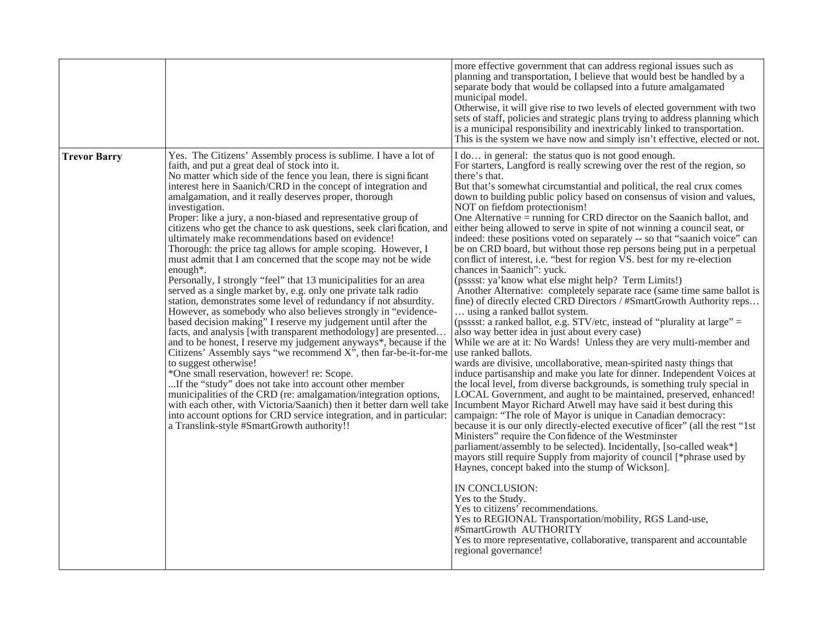|                     |                                                                                                                                                                                                                                                                                                                                                                                                                                                                                                                                                                                                                                                                                                                                                                                                                                                                                                                                                                                                                                                                                                                                                                                                                                                                                                                                                                                                                                                                                                                                                                                                                                             | more effective government that can address regional issues such as<br>planning and transportation, I believe that would best be handled by a<br>separate body that would be collapsed into a future amalgamated<br>municipal model.<br>Otherwise, it will give rise to two levels of elected government with two<br>sets of staff, policies and strategic plans trying to address planning which<br>is a municipal responsibility and inextricably linked to transportation.<br>This is the system we have now and simply isn't effective, elected or not.                                                                                                                                                                                                                                                                                                                                                                                                                                                                                                                                                                                                                                                                                                                                                                                                                                                                                                                                                                                                                                                                                                                                                                                                                                                                                                                                                                                                                                                                                                                                                                                                                                                                                                                                             |
|---------------------|---------------------------------------------------------------------------------------------------------------------------------------------------------------------------------------------------------------------------------------------------------------------------------------------------------------------------------------------------------------------------------------------------------------------------------------------------------------------------------------------------------------------------------------------------------------------------------------------------------------------------------------------------------------------------------------------------------------------------------------------------------------------------------------------------------------------------------------------------------------------------------------------------------------------------------------------------------------------------------------------------------------------------------------------------------------------------------------------------------------------------------------------------------------------------------------------------------------------------------------------------------------------------------------------------------------------------------------------------------------------------------------------------------------------------------------------------------------------------------------------------------------------------------------------------------------------------------------------------------------------------------------------|--------------------------------------------------------------------------------------------------------------------------------------------------------------------------------------------------------------------------------------------------------------------------------------------------------------------------------------------------------------------------------------------------------------------------------------------------------------------------------------------------------------------------------------------------------------------------------------------------------------------------------------------------------------------------------------------------------------------------------------------------------------------------------------------------------------------------------------------------------------------------------------------------------------------------------------------------------------------------------------------------------------------------------------------------------------------------------------------------------------------------------------------------------------------------------------------------------------------------------------------------------------------------------------------------------------------------------------------------------------------------------------------------------------------------------------------------------------------------------------------------------------------------------------------------------------------------------------------------------------------------------------------------------------------------------------------------------------------------------------------------------------------------------------------------------------------------------------------------------------------------------------------------------------------------------------------------------------------------------------------------------------------------------------------------------------------------------------------------------------------------------------------------------------------------------------------------------------------------------------------------------------------------------------------------------|
| <b>Trevor Barry</b> | Yes. The Citizens' Assembly process is sublime. I have a lot of<br>faith, and put a great deal of stock into it.<br>No matter which side of the fence you lean, there is significant<br>interest here in Saanich/CRD in the concept of integration and<br>amalgamation, and it really deserves proper, thorough<br>investigation.<br>Proper: like a jury, a non-biased and representative group of<br>citizens who get the chance to ask questions, seek clarification, and<br>ultimately make recommendations based on evidence!<br>Thorough: the price tag allows for ample scoping. However, I<br>must admit that I am concerned that the scope may not be wide<br>enough*.<br>Personally, I strongly "feel" that 13 municipalities for an area<br>served as a single market by, e.g. only one private talk radio<br>station, demonstrates some level of redundancy if not absurdity.<br>However, as somebody who also believes strongly in "evidence-<br>based decision making" I reserve my judgement until after the<br>facts, and analysis [with transparent methodology] are presented<br>and to be honest, I reserve my judgement anyways*, because if the<br>Citizens' Assembly says "we recommend X", then far-be-it-for-me<br>to suggest otherwise!<br>*One small reservation, however! re: Scope.<br>If the "study" does not take into account other member<br>municipalities of the CRD (re: amalgamation/integration options,<br>with each other, with Victoria/Saanich) then it better darn well take<br>into account options for CRD service integration, and in particular:<br>a Translink-style #SmartGrowth authority!! | I do in general: the status quo is not good enough.<br>For starters, Langford is really screwing over the rest of the region, so<br>there's that.<br>But that's somewhat circumstantial and political, the real crux comes<br>down to building public policy based on consensus of vision and values,<br>NOT on fiefdom protectionism!<br>One Alternative = running for CRD director on the Saanich ballot, and<br>either being allowed to serve in spite of not winning a council seat, or<br>indeed: these positions voted on separately -- so that "saanich voice" can<br>be on CRD board, but without those rep persons being put in a perpetual<br>conflict of interest, i.e. "best for region VS. best for my re-election<br>chances in Saanich": yuck.<br>(psssst: ya'know what else might help? Term Limits!)<br>Another Alternative: completely separate race (same time same ballot is<br>fine) of directly elected CRD Directors / #SmartGrowth Authority reps<br>using a ranked ballot system.<br>(psssst: a ranked ballot, e.g. $STV/etc$ , instead of "plurality at large" =<br>also way better idea in just about every case)<br>While we are at it: No Wards! Unless they are very multi-member and<br>use ranked ballots.<br>wards are divisive, uncollaborative, mean-spirited nasty things that<br>induce partisanship and make you late for dinner. Independent Voices at<br>the local level, from diverse backgrounds, is something truly special in<br>LOCAL Government, and aught to be maintained, preserved, enhanced!<br>Incumbent Mayor Richard Atwell may have said it best during this<br>campaign: "The role of Mayor is unique in Canadian democracy:<br>because it is our only directly-elected executive of ficer" (all the rest "1st<br>Ministers" require the Confidence of the Westminster<br>parliament/assembly to be selected). Incidentally, [so-called weak*]<br>mayors still require Supply from majority of council [*phrase used by<br>Haynes, concept baked into the stump of Wickson].<br>IN CONCLUSION:<br>Yes to the Study.<br>Yes to citizens' recommendations.<br>Yes to REGIONAL Transportation/mobility, RGS Land-use,<br>#SmartGrowth AUTHORITY<br>Yes to more representative, collaborative, transparent and accountable<br>regional governance! |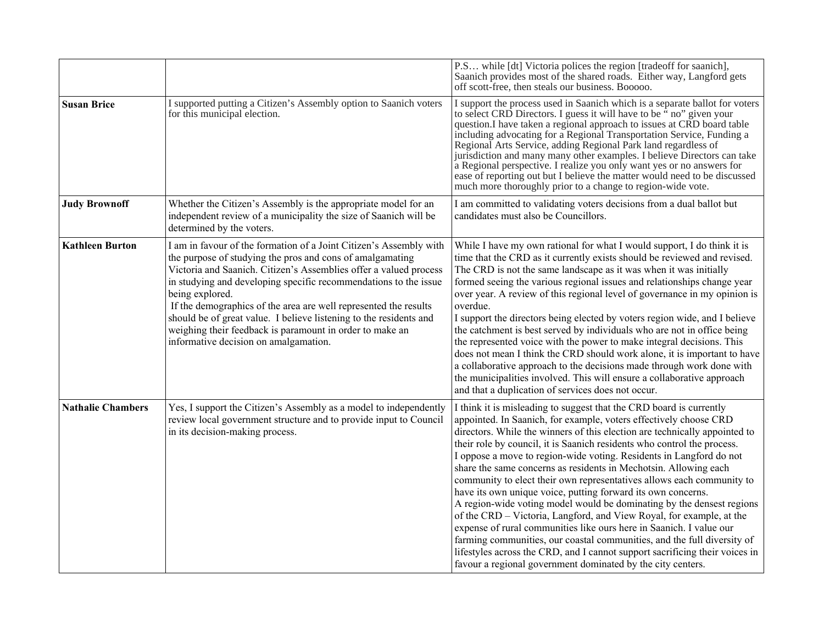|                          |                                                                                                                                                                                                                                                                                                                                                                                                                                                                                                                                            | P.S while [dt] Victoria polices the region [tradeoff for saanich],<br>Saanich provides most of the shared roads. Either way, Langford gets<br>off scott-free, then steals our business. Booooo.                                                                                                                                                                                                                                                                                                                                                                                                                                                                                                                                                                                                                                                                                                                                                                                                                                        |
|--------------------------|--------------------------------------------------------------------------------------------------------------------------------------------------------------------------------------------------------------------------------------------------------------------------------------------------------------------------------------------------------------------------------------------------------------------------------------------------------------------------------------------------------------------------------------------|----------------------------------------------------------------------------------------------------------------------------------------------------------------------------------------------------------------------------------------------------------------------------------------------------------------------------------------------------------------------------------------------------------------------------------------------------------------------------------------------------------------------------------------------------------------------------------------------------------------------------------------------------------------------------------------------------------------------------------------------------------------------------------------------------------------------------------------------------------------------------------------------------------------------------------------------------------------------------------------------------------------------------------------|
| <b>Susan Brice</b>       | I supported putting a Citizen's Assembly option to Saanich voters<br>for this municipal election.                                                                                                                                                                                                                                                                                                                                                                                                                                          | I support the process used in Saanich which is a separate ballot for voters<br>to select CRD Directors. I guess it will have to be "no" given your<br>question. I have taken a regional approach to issues at CRD board table<br>including advocating for a Regional Transportation Service, Funding a<br>Regional Arts Service, adding Regional Park land regardless of<br>jurisdiction and many many other examples. I believe Directors can take<br>a Regional perspective. I realize you only want yes or no answers for<br>ease of reporting out but I believe the matter would need to be discussed<br>much more thoroughly prior to a change to region-wide vote.                                                                                                                                                                                                                                                                                                                                                               |
| <b>Judy Brownoff</b>     | Whether the Citizen's Assembly is the appropriate model for an<br>independent review of a municipality the size of Saanich will be<br>determined by the voters.                                                                                                                                                                                                                                                                                                                                                                            | I am committed to validating voters decisions from a dual ballot but<br>candidates must also be Councillors.                                                                                                                                                                                                                                                                                                                                                                                                                                                                                                                                                                                                                                                                                                                                                                                                                                                                                                                           |
| <b>Kathleen Burton</b>   | I am in favour of the formation of a Joint Citizen's Assembly with<br>the purpose of studying the pros and cons of amalgamating<br>Victoria and Saanich. Citizen's Assemblies offer a valued process<br>in studying and developing specific recommendations to the issue<br>being explored.<br>If the demographics of the area are well represented the results<br>should be of great value. I believe listening to the residents and<br>weighing their feedback is paramount in order to make an<br>informative decision on amalgamation. | While I have my own rational for what I would support, I do think it is<br>time that the CRD as it currently exists should be reviewed and revised.<br>The CRD is not the same landscape as it was when it was initially<br>formed seeing the various regional issues and relationships change year<br>over year. A review of this regional level of governance in my opinion is<br>overdue.<br>I support the directors being elected by voters region wide, and I believe<br>the catchment is best served by individuals who are not in office being<br>the represented voice with the power to make integral decisions. This<br>does not mean I think the CRD should work alone, it is important to have<br>a collaborative approach to the decisions made through work done with<br>the municipalities involved. This will ensure a collaborative approach<br>and that a duplication of services does not occur.                                                                                                                    |
| <b>Nathalie Chambers</b> | Yes, I support the Citizen's Assembly as a model to independently<br>review local government structure and to provide input to Council<br>in its decision-making process.                                                                                                                                                                                                                                                                                                                                                                  | I think it is misleading to suggest that the CRD board is currently<br>appointed. In Saanich, for example, voters effectively choose CRD<br>directors. While the winners of this election are technically appointed to<br>their role by council, it is Saanich residents who control the process.<br>I oppose a move to region-wide voting. Residents in Langford do not<br>share the same concerns as residents in Mechotsin. Allowing each<br>community to elect their own representatives allows each community to<br>have its own unique voice, putting forward its own concerns.<br>A region-wide voting model would be dominating by the densest regions<br>of the CRD - Victoria, Langford, and View Royal, for example, at the<br>expense of rural communities like ours here in Saanich. I value our<br>farming communities, our coastal communities, and the full diversity of<br>lifestyles across the CRD, and I cannot support sacrificing their voices in<br>favour a regional government dominated by the city centers. |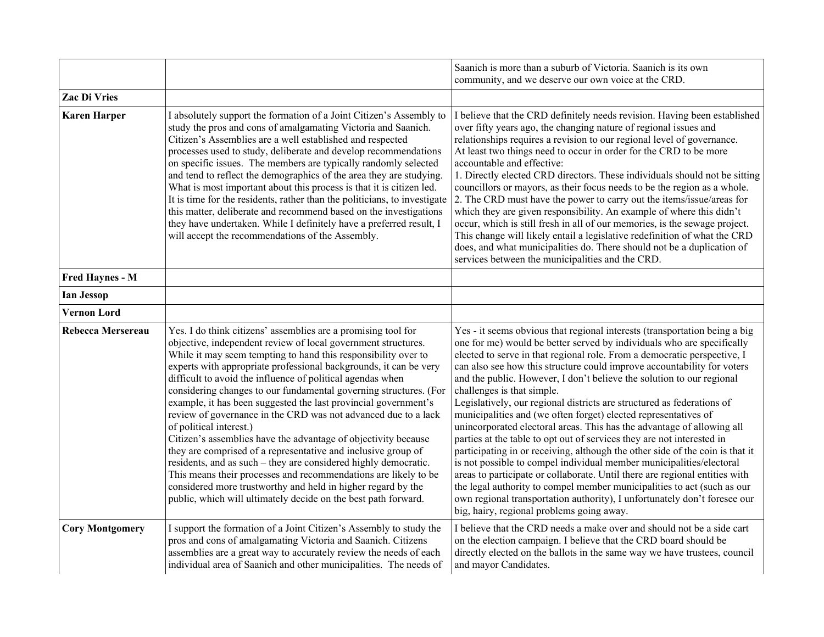|                          |                                                                                                                                                                                                                                                                                                                                                                                                                                                                                                                                                                                                                                                                                                                                                                                                                                                                                                                                                                                     | Saanich is more than a suburb of Victoria. Saanich is its own<br>community, and we deserve our own voice at the CRD.                                                                                                                                                                                                                                                                                                                                                                                                                                                                                                                                                                                                                                                                                                                                                                                                                                                                                                                                                                                                                                             |
|--------------------------|-------------------------------------------------------------------------------------------------------------------------------------------------------------------------------------------------------------------------------------------------------------------------------------------------------------------------------------------------------------------------------------------------------------------------------------------------------------------------------------------------------------------------------------------------------------------------------------------------------------------------------------------------------------------------------------------------------------------------------------------------------------------------------------------------------------------------------------------------------------------------------------------------------------------------------------------------------------------------------------|------------------------------------------------------------------------------------------------------------------------------------------------------------------------------------------------------------------------------------------------------------------------------------------------------------------------------------------------------------------------------------------------------------------------------------------------------------------------------------------------------------------------------------------------------------------------------------------------------------------------------------------------------------------------------------------------------------------------------------------------------------------------------------------------------------------------------------------------------------------------------------------------------------------------------------------------------------------------------------------------------------------------------------------------------------------------------------------------------------------------------------------------------------------|
| <b>Zac Di Vries</b>      |                                                                                                                                                                                                                                                                                                                                                                                                                                                                                                                                                                                                                                                                                                                                                                                                                                                                                                                                                                                     |                                                                                                                                                                                                                                                                                                                                                                                                                                                                                                                                                                                                                                                                                                                                                                                                                                                                                                                                                                                                                                                                                                                                                                  |
| <b>Karen Harper</b>      | I absolutely support the formation of a Joint Citizen's Assembly to<br>study the pros and cons of amalgamating Victoria and Saanich.<br>Citizen's Assemblies are a well established and respected<br>processes used to study, deliberate and develop recommendations<br>on specific issues. The members are typically randomly selected<br>and tend to reflect the demographics of the area they are studying.<br>What is most important about this process is that it is citizen led.<br>It is time for the residents, rather than the politicians, to investigate<br>this matter, deliberate and recommend based on the investigations<br>they have undertaken. While I definitely have a preferred result, I<br>will accept the recommendations of the Assembly.                                                                                                                                                                                                                 | I believe that the CRD definitely needs revision. Having been established<br>over fifty years ago, the changing nature of regional issues and<br>relationships requires a revision to our regional level of governance.<br>At least two things need to occur in order for the CRD to be more<br>accountable and effective:<br>1. Directly elected CRD directors. These individuals should not be sitting<br>councillors or mayors, as their focus needs to be the region as a whole.<br>2. The CRD must have the power to carry out the items/issue/areas for<br>which they are given responsibility. An example of where this didn't<br>occur, which is still fresh in all of our memories, is the sewage project.<br>This change will likely entail a legislative redefinition of what the CRD<br>does, and what municipalities do. There should not be a duplication of<br>services between the municipalities and the CRD.                                                                                                                                                                                                                                   |
| <b>Fred Haynes - M</b>   |                                                                                                                                                                                                                                                                                                                                                                                                                                                                                                                                                                                                                                                                                                                                                                                                                                                                                                                                                                                     |                                                                                                                                                                                                                                                                                                                                                                                                                                                                                                                                                                                                                                                                                                                                                                                                                                                                                                                                                                                                                                                                                                                                                                  |
| <b>Ian Jessop</b>        |                                                                                                                                                                                                                                                                                                                                                                                                                                                                                                                                                                                                                                                                                                                                                                                                                                                                                                                                                                                     |                                                                                                                                                                                                                                                                                                                                                                                                                                                                                                                                                                                                                                                                                                                                                                                                                                                                                                                                                                                                                                                                                                                                                                  |
| <b>Vernon Lord</b>       |                                                                                                                                                                                                                                                                                                                                                                                                                                                                                                                                                                                                                                                                                                                                                                                                                                                                                                                                                                                     |                                                                                                                                                                                                                                                                                                                                                                                                                                                                                                                                                                                                                                                                                                                                                                                                                                                                                                                                                                                                                                                                                                                                                                  |
| <b>Rebecca Mersereau</b> | Yes. I do think citizens' assemblies are a promising tool for<br>objective, independent review of local government structures.<br>While it may seem tempting to hand this responsibility over to<br>experts with appropriate professional backgrounds, it can be very<br>difficult to avoid the influence of political agendas when<br>considering changes to our fundamental governing structures. (For<br>example, it has been suggested the last provincial government's<br>review of governance in the CRD was not advanced due to a lack<br>of political interest.)<br>Citizen's assemblies have the advantage of objectivity because<br>they are comprised of a representative and inclusive group of<br>residents, and as such - they are considered highly democratic.<br>This means their processes and recommendations are likely to be<br>considered more trustworthy and held in higher regard by the<br>public, which will ultimately decide on the best path forward. | Yes - it seems obvious that regional interests (transportation being a big<br>one for me) would be better served by individuals who are specifically<br>elected to serve in that regional role. From a democratic perspective, I<br>can also see how this structure could improve accountability for voters<br>and the public. However, I don't believe the solution to our regional<br>challenges is that simple.<br>Legislatively, our regional districts are structured as federations of<br>municipalities and (we often forget) elected representatives of<br>unincorporated electoral areas. This has the advantage of allowing all<br>parties at the table to opt out of services they are not interested in<br>participating in or receiving, although the other side of the coin is that it<br>is not possible to compel individual member municipalities/electoral<br>areas to participate or collaborate. Until there are regional entities with<br>the legal authority to compel member municipalities to act (such as our<br>own regional transportation authority), I unfortunately don't foresee our<br>big, hairy, regional problems going away. |
| <b>Cory Montgomery</b>   | I support the formation of a Joint Citizen's Assembly to study the<br>pros and cons of amalgamating Victoria and Saanich. Citizens<br>assemblies are a great way to accurately review the needs of each<br>individual area of Saanich and other municipalities. The needs of                                                                                                                                                                                                                                                                                                                                                                                                                                                                                                                                                                                                                                                                                                        | I believe that the CRD needs a make over and should not be a side cart<br>on the election campaign. I believe that the CRD board should be<br>directly elected on the ballots in the same way we have trustees, council<br>and mayor Candidates.                                                                                                                                                                                                                                                                                                                                                                                                                                                                                                                                                                                                                                                                                                                                                                                                                                                                                                                 |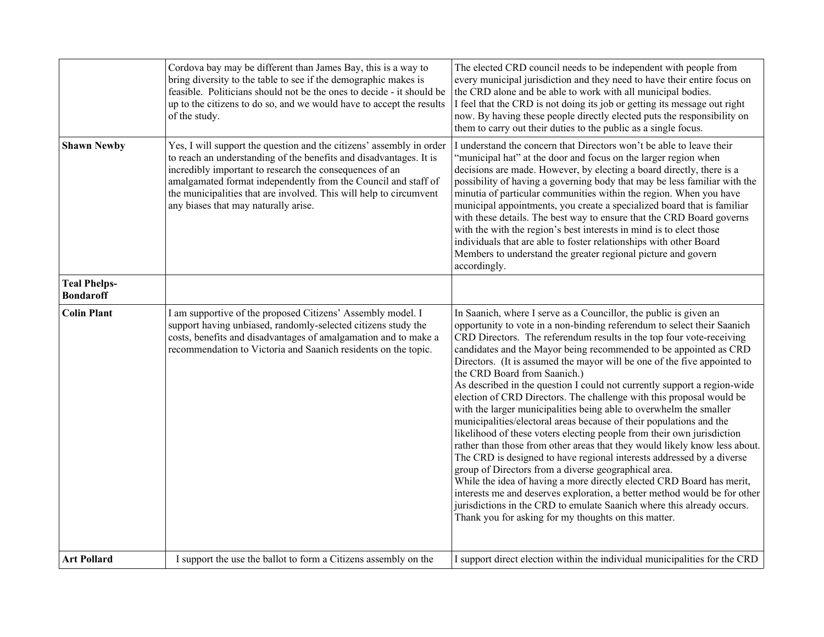|                                         | Cordova bay may be different than James Bay, this is a way to<br>bring diversity to the table to see if the demographic makes is<br>feasible. Politicians should not be the ones to decide - it should be<br>up to the citizens to do so, and we would have to accept the results<br>of the study.                                                                                    | The elected CRD council needs to be independent with people from<br>every municipal jurisdiction and they need to have their entire focus on<br>the CRD alone and be able to work with all municipal bodies.<br>I feel that the CRD is not doing its job or getting its message out right<br>now. By having these people directly elected puts the responsibility on<br>them to carry out their duties to the public as a single focus.                                                                                                                                                                                                                                                                                                                                                                                                                                                                                                                                                                                                                                                                                                                                                                                                                                                 |
|-----------------------------------------|---------------------------------------------------------------------------------------------------------------------------------------------------------------------------------------------------------------------------------------------------------------------------------------------------------------------------------------------------------------------------------------|-----------------------------------------------------------------------------------------------------------------------------------------------------------------------------------------------------------------------------------------------------------------------------------------------------------------------------------------------------------------------------------------------------------------------------------------------------------------------------------------------------------------------------------------------------------------------------------------------------------------------------------------------------------------------------------------------------------------------------------------------------------------------------------------------------------------------------------------------------------------------------------------------------------------------------------------------------------------------------------------------------------------------------------------------------------------------------------------------------------------------------------------------------------------------------------------------------------------------------------------------------------------------------------------|
| <b>Shawn Newby</b>                      | Yes, I will support the question and the citizens' assembly in order<br>to reach an understanding of the benefits and disadvantages. It is<br>incredibly important to research the consequences of an<br>amalgamated format independently from the Council and staff of<br>the municipalities that are involved. This will help to circumvent<br>any biases that may naturally arise. | I understand the concern that Directors won't be able to leave their<br>"municipal hat" at the door and focus on the larger region when<br>decisions are made. However, by electing a board directly, there is a<br>possibility of having a governing body that may be less familiar with the<br>minutia of particular communities within the region. When you have<br>municipal appointments, you create a specialized board that is familiar<br>with these details. The best way to ensure that the CRD Board governs<br>with the with the region's best interests in mind is to elect those<br>individuals that are able to foster relationships with other Board<br>Members to understand the greater regional picture and govern<br>accordingly.                                                                                                                                                                                                                                                                                                                                                                                                                                                                                                                                   |
| <b>Teal Phelps-</b><br><b>Bondaroff</b> |                                                                                                                                                                                                                                                                                                                                                                                       |                                                                                                                                                                                                                                                                                                                                                                                                                                                                                                                                                                                                                                                                                                                                                                                                                                                                                                                                                                                                                                                                                                                                                                                                                                                                                         |
| <b>Colin Plant</b>                      | I am supportive of the proposed Citizens' Assembly model. I<br>support having unbiased, randomly-selected citizens study the<br>costs, benefits and disadvantages of amalgamation and to make a<br>recommendation to Victoria and Saanich residents on the topic.                                                                                                                     | In Saanich, where I serve as a Councillor, the public is given an<br>opportunity to vote in a non-binding referendum to select their Saanich<br>CRD Directors. The referendum results in the top four vote-receiving<br>candidates and the Mayor being recommended to be appointed as CRD<br>Directors. (It is assumed the mayor will be one of the five appointed to<br>the CRD Board from Saanich.)<br>As described in the question I could not currently support a region-wide<br>election of CRD Directors. The challenge with this proposal would be<br>with the larger municipalities being able to overwhelm the smaller<br>municipalities/electoral areas because of their populations and the<br>likelihood of these voters electing people from their own jurisdiction<br>rather than those from other areas that they would likely know less about.<br>The CRD is designed to have regional interests addressed by a diverse<br>group of Directors from a diverse geographical area.<br>While the idea of having a more directly elected CRD Board has merit,<br>interests me and deserves exploration, a better method would be for other<br>jurisdictions in the CRD to emulate Saanich where this already occurs.<br>Thank you for asking for my thoughts on this matter. |
| <b>Art Pollard</b>                      | I support the use the ballot to form a Citizens assembly on the                                                                                                                                                                                                                                                                                                                       | I support direct election within the individual municipalities for the CRD                                                                                                                                                                                                                                                                                                                                                                                                                                                                                                                                                                                                                                                                                                                                                                                                                                                                                                                                                                                                                                                                                                                                                                                                              |